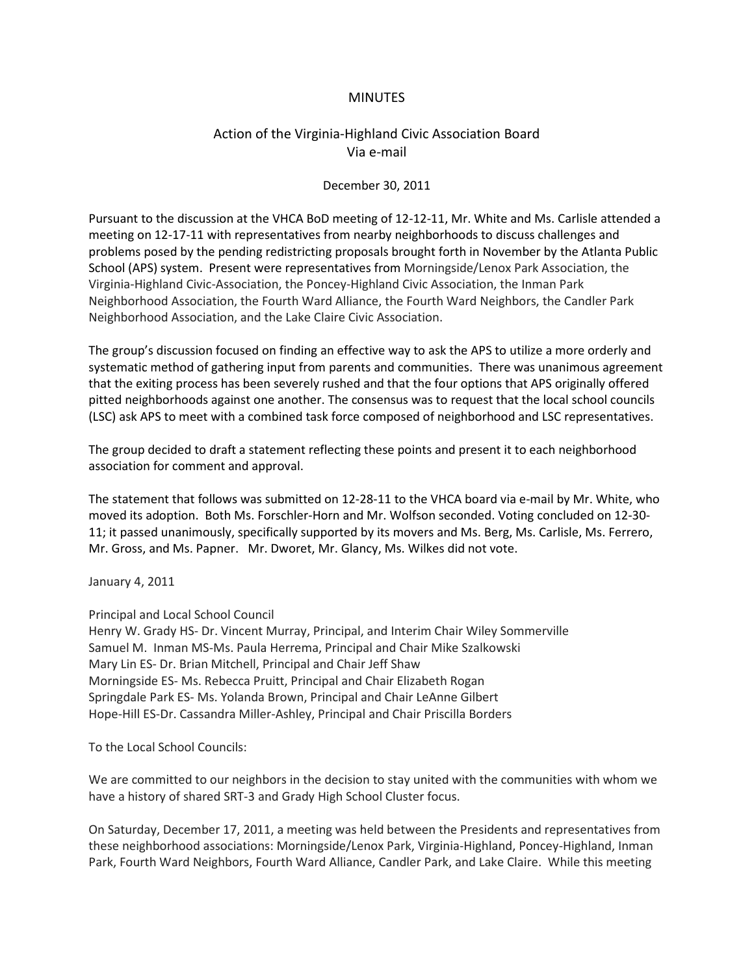## **MINUTES**

## Action of the Virginia-Highland Civic Association Board Via e-mail

## December 30, 2011

Pursuant to the discussion at the VHCA BoD meeting of 12-12-11, Mr. White and Ms. Carlisle attended a meeting on 12-17-11 with representatives from nearby neighborhoods to discuss challenges and problems posed by the pending redistricting proposals brought forth in November by the Atlanta Public School (APS) system. Present were representatives from Morningside/Lenox Park Association, the Virginia-Highland Civic-Association, the Poncey-Highland Civic Association, the Inman Park Neighborhood Association, the Fourth Ward Alliance, the Fourth Ward Neighbors, the Candler Park Neighborhood Association, and the Lake Claire Civic Association.

The group's discussion focused on finding an effective way to ask the APS to utilize a more orderly and systematic method of gathering input from parents and communities. There was unanimous agreement that the exiting process has been severely rushed and that the four options that APS originally offered pitted neighborhoods against one another. The consensus was to request that the local school councils (LSC) ask APS to meet with a combined task force composed of neighborhood and LSC representatives.

The group decided to draft a statement reflecting these points and present it to each neighborhood association for comment and approval.

The statement that follows was submitted on 12-28-11 to the VHCA board via e-mail by Mr. White, who moved its adoption. Both Ms. Forschler-Horn and Mr. Wolfson seconded. Voting concluded on 12-30- 11; it passed unanimously, specifically supported by its movers and Ms. Berg, Ms. Carlisle, Ms. Ferrero, Mr. Gross, and Ms. Papner. Mr. Dworet, Mr. Glancy, Ms. Wilkes did not vote.

January 4, 2011

Principal and Local School Council

Henry W. Grady HS- Dr. Vincent Murray, Principal, and Interim Chair Wiley Sommerville Samuel M. Inman MS-Ms. Paula Herrema, Principal and Chair Mike Szalkowski Mary Lin ES- Dr. Brian Mitchell, Principal and Chair Jeff Shaw Morningside ES- Ms. Rebecca Pruitt, Principal and Chair Elizabeth Rogan Springdale Park ES- Ms. Yolanda Brown, Principal and Chair LeAnne Gilbert Hope-Hill ES-Dr. Cassandra Miller-Ashley, Principal and Chair Priscilla Borders

To the Local School Councils:

We are committed to our neighbors in the decision to stay united with the communities with whom we have a history of shared SRT-3 and Grady High School Cluster focus.

On Saturday, December 17, 2011, a meeting was held between the Presidents and representatives from these neighborhood associations: Morningside/Lenox Park, Virginia-Highland, Poncey-Highland, Inman Park, Fourth Ward Neighbors, Fourth Ward Alliance, Candler Park, and Lake Claire. While this meeting